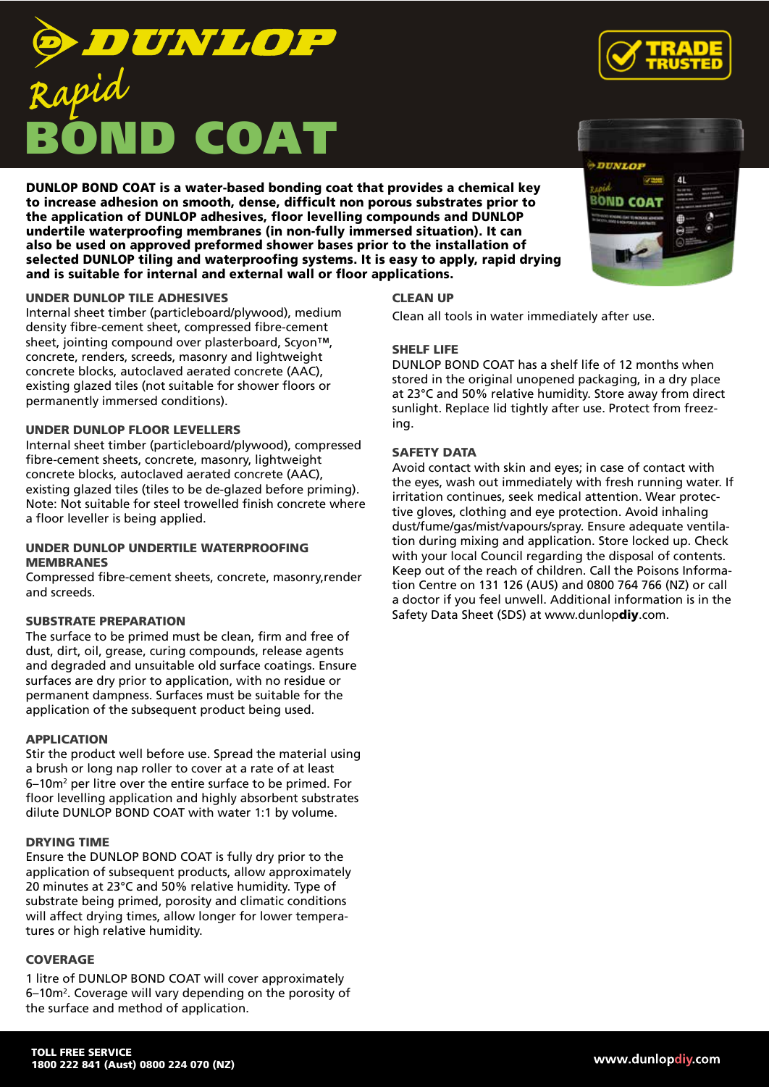# DUNL *Rapid*COAT

DUNLOP BOND COAT is a water-based bonding coat that provides a chemical key to increase adhesion on smooth, dense, difficult non porous substrates prior to the application of DUNLOP adhesives, floor levelling compounds and DUNLOP undertile waterproofing membranes (in non-fully immersed situation). It can also be used on approved preformed shower bases prior to the installation of selected DUNLOP tiling and waterproofing systems. It is easy to apply, rapid drying and is suitable for internal and external wall or floor applications.

## UNDER DUNLOP TILE ADHESIVES

Internal sheet timber (particleboard/plywood), medium density fibre-cement sheet, compressed fibre-cement sheet, jointing compound over plasterboard, Scyon™, concrete, renders, screeds, masonry and lightweight concrete blocks, autoclaved aerated concrete (AAC), existing glazed tiles (not suitable for shower floors or permanently immersed conditions).

## UNDER DUNLOP FLOOR LEVELLERS

Internal sheet timber (particleboard/plywood), compressed fibre-cement sheets, concrete, masonry, lightweight concrete blocks, autoclaved aerated concrete (AAC), existing glazed tiles (tiles to be de-glazed before priming). Note: Not suitable for steel trowelled finish concrete where a floor leveller is being applied.

#### UNDER DUNLOP UNDERTILE WATERPROOFING **MEMBRANES**

Compressed fibre-cement sheets, concrete, masonry,render and screeds.

## SUBSTRATE PREPARATION

The surface to be primed must be clean, firm and free of dust, dirt, oil, grease, curing compounds, release agents and degraded and unsuitable old surface coatings. Ensure surfaces are dry prior to application, with no residue or permanent dampness. Surfaces must be suitable for the application of the subsequent product being used.

#### APPLICATION

Stir the product well before use. Spread the material using a brush or long nap roller to cover at a rate of at least 6–10m2 per litre over the entire surface to be primed. For floor levelling application and highly absorbent substrates dilute DUNLOP BOND COAT with water 1:1 by volume.

#### DRYING TIME

Ensure the DUNLOP BOND COAT is fully dry prior to the application of subsequent products, allow approximately 20 minutes at 23°C and 50% relative humidity. Type of substrate being primed, porosity and climatic conditions will affect drying times, allow longer for lower temperatures or high relative humidity.

## **COVERAGE**

1 litre of DUNLOP BOND COAT will cover approximately 6–10m<sup>2</sup>. Coverage will vary depending on the porosity of the surface and method of application.

## CLEAN UP

Clean all tools in water immediately after use.

#### SHELF LIFE

DUNLOP BOND COAT has a shelf life of 12 months when stored in the original unopened packaging, in a dry place at 23°C and 50% relative humidity. Store away from direct sunlight. Replace lid tightly after use. Protect from freezing.

## SAFETY DATA

Avoid contact with skin and eyes; in case of contact with the eyes, wash out immediately with fresh running water. If irritation continues, seek medical attention. Wear protective gloves, clothing and eye protection. Avoid inhaling dust/fume/gas/mist/vapours/spray. Ensure adequate ventilation during mixing and application. Store locked up. Check with your local Council regarding the disposal of contents. Keep out of the reach of children. Call the Poisons Information Centre on 131 126 (AUS) and 0800 764 766 (NZ) or call a doctor if you feel unwell. Additional information is in the Safety Data Sheet (SDS) at www.dunlopdiy.com.